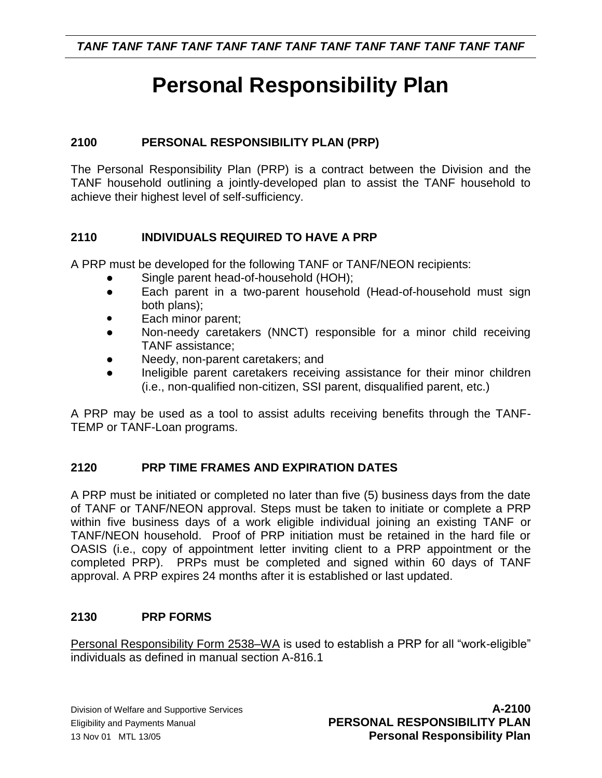# **Personal Responsibility Plan**

## **2100 PERSONAL RESPONSIBILITY PLAN (PRP)**

The Personal Responsibility Plan (PRP) is a contract between the Division and the TANF household outlining a jointly-developed plan to assist the TANF household to achieve their highest level of self-sufficiency.

## **2110 INDIVIDUALS REQUIRED TO HAVE A PRP**

A PRP must be developed for the following TANF or TANF/NEON recipients:

- Single parent head-of-household (HOH);
- Each parent in a two-parent household (Head-of-household must sign both plans);
- Each minor parent:
- Non-needy caretakers (NNCT) responsible for a minor child receiving TANF assistance;
- Needy, non-parent caretakers; and
- Ineligible parent caretakers receiving assistance for their minor children (i.e., non-qualified non-citizen, SSI parent, disqualified parent, etc.)

A PRP may be used as a tool to assist adults receiving benefits through the TANF-TEMP or TANF-Loan programs.

## **2120 PRP TIME FRAMES AND EXPIRATION DATES**

A PRP must be initiated or completed no later than five (5) business days from the date of TANF or TANF/NEON approval. Steps must be taken to initiate or complete a PRP within five business days of a work eligible individual joining an existing TANF or TANF/NEON household. Proof of PRP initiation must be retained in the hard file or OASIS (i.e., copy of appointment letter inviting client to a PRP appointment or the completed PRP). PRPs must be completed and signed within 60 days of TANF approval. A PRP expires 24 months after it is established or last updated.

## **2130 PRP FORMS**

Personal Responsibility Form 2538–WA is used to establish a PRP for all "work-eligible" individuals as defined in manual section A-816.1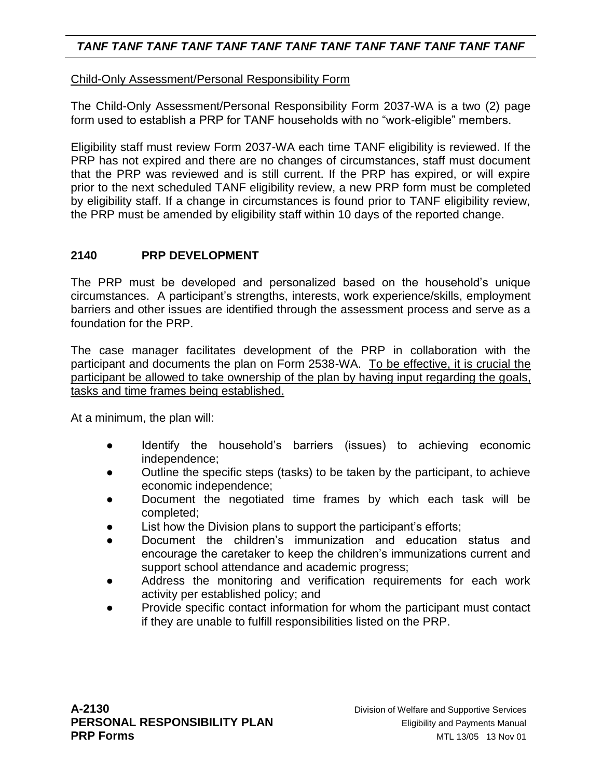# *TANF TANF TANF TANF TANF TANF TANF TANF TANF TANF TANF TANF TANF*

#### Child-Only Assessment/Personal Responsibility Form

The Child-Only Assessment/Personal Responsibility Form 2037-WA is a two (2) page form used to establish a PRP for TANF households with no "work-eligible" members.

Eligibility staff must review Form 2037-WA each time TANF eligibility is reviewed. If the PRP has not expired and there are no changes of circumstances, staff must document that the PRP was reviewed and is still current. If the PRP has expired, or will expire prior to the next scheduled TANF eligibility review, a new PRP form must be completed by eligibility staff. If a change in circumstances is found prior to TANF eligibility review, the PRP must be amended by eligibility staff within 10 days of the reported change.

## **2140 PRP DEVELOPMENT**

The PRP must be developed and personalized based on the household's unique circumstances. A participant's strengths, interests, work experience/skills, employment barriers and other issues are identified through the assessment process and serve as a foundation for the PRP.

The case manager facilitates development of the PRP in collaboration with the participant and documents the plan on Form 2538-WA. To be effective, it is crucial the participant be allowed to take ownership of the plan by having input regarding the goals, tasks and time frames being established.

At a minimum, the plan will:

- Identify the household's barriers (issues) to achieving economic independence;
- Outline the specific steps (tasks) to be taken by the participant, to achieve economic independence;
- Document the negotiated time frames by which each task will be completed;
- List how the Division plans to support the participant's efforts;
- Document the children's immunization and education status and encourage the caretaker to keep the children's immunizations current and support school attendance and academic progress;
- Address the monitoring and verification requirements for each work activity per established policy; and
- Provide specific contact information for whom the participant must contact if they are unable to fulfill responsibilities listed on the PRP.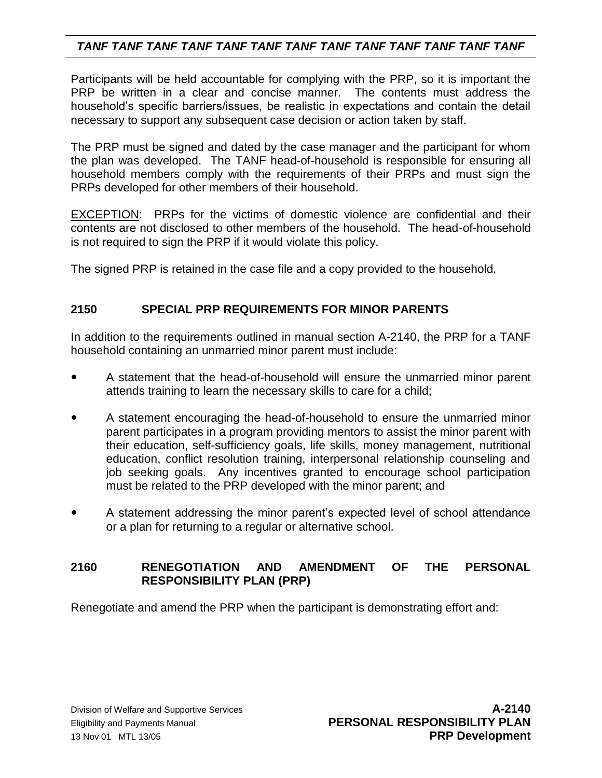# *TANF TANF TANF TANF TANF TANF TANF TANF TANF TANF TANF TANF TANF*

Participants will be held accountable for complying with the PRP, so it is important the PRP be written in a clear and concise manner. The contents must address the household's specific barriers/issues, be realistic in expectations and contain the detail necessary to support any subsequent case decision or action taken by staff.

The PRP must be signed and dated by the case manager and the participant for whom the plan was developed. The TANF head-of-household is responsible for ensuring all household members comply with the requirements of their PRPs and must sign the PRPs developed for other members of their household.

EXCEPTION: PRPs for the victims of domestic violence are confidential and their contents are not disclosed to other members of the household. The head-of-household is not required to sign the PRP if it would violate this policy.

The signed PRP is retained in the case file and a copy provided to the household.

# **2150 SPECIAL PRP REQUIREMENTS FOR MINOR PARENTS**

In addition to the requirements outlined in manual section A-2140, the PRP for a TANF household containing an unmarried minor parent must include:

- A statement that the head-of-household will ensure the unmarried minor parent attends training to learn the necessary skills to care for a child;
- A statement encouraging the head-of-household to ensure the unmarried minor parent participates in a program providing mentors to assist the minor parent with their education, self-sufficiency goals, life skills, money management, nutritional education, conflict resolution training, interpersonal relationship counseling and job seeking goals. Any incentives granted to encourage school participation must be related to the PRP developed with the minor parent; and
- A statement addressing the minor parent's expected level of school attendance or a plan for returning to a regular or alternative school.

## **2160 RENEGOTIATION AND AMENDMENT OF THE PERSONAL RESPONSIBILITY PLAN (PRP)**

Renegotiate and amend the PRP when the participant is demonstrating effort and: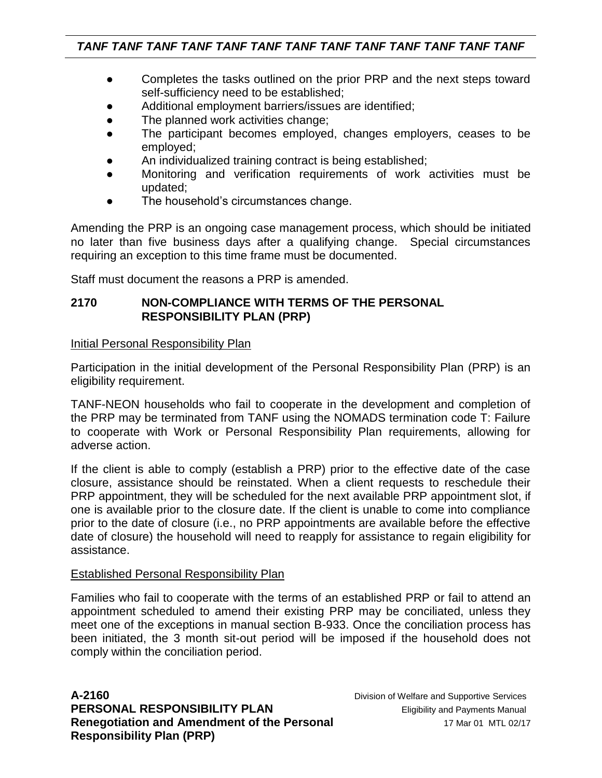- Completes the tasks outlined on the prior PRP and the next steps toward self-sufficiency need to be established;
- Additional employment barriers/issues are identified;
- The planned work activities change;
- The participant becomes employed, changes employers, ceases to be employed;
- An individualized training contract is being established;
- Monitoring and verification requirements of work activities must be updated;
- The household's circumstances change.

Amending the PRP is an ongoing case management process, which should be initiated no later than five business days after a qualifying change. Special circumstances requiring an exception to this time frame must be documented.

Staff must document the reasons a PRP is amended.

#### **2170 NON-COMPLIANCE WITH TERMS OF THE PERSONAL RESPONSIBILITY PLAN (PRP)**

#### Initial Personal Responsibility Plan

Participation in the initial development of the Personal Responsibility Plan (PRP) is an eligibility requirement.

TANF-NEON households who fail to cooperate in the development and completion of the PRP may be terminated from TANF using the NOMADS termination code T: Failure to cooperate with Work or Personal Responsibility Plan requirements, allowing for adverse action.

If the client is able to comply (establish a PRP) prior to the effective date of the case closure, assistance should be reinstated. When a client requests to reschedule their PRP appointment, they will be scheduled for the next available PRP appointment slot, if one is available prior to the closure date. If the client is unable to come into compliance prior to the date of closure (i.e., no PRP appointments are available before the effective date of closure) the household will need to reapply for assistance to regain eligibility for assistance.

#### Established Personal Responsibility Plan

Families who fail to cooperate with the terms of an established PRP or fail to attend an appointment scheduled to amend their existing PRP may be conciliated, unless they meet one of the exceptions in manual section B-933. Once the conciliation process has been initiated, the 3 month sit-out period will be imposed if the household does not comply within the conciliation period.